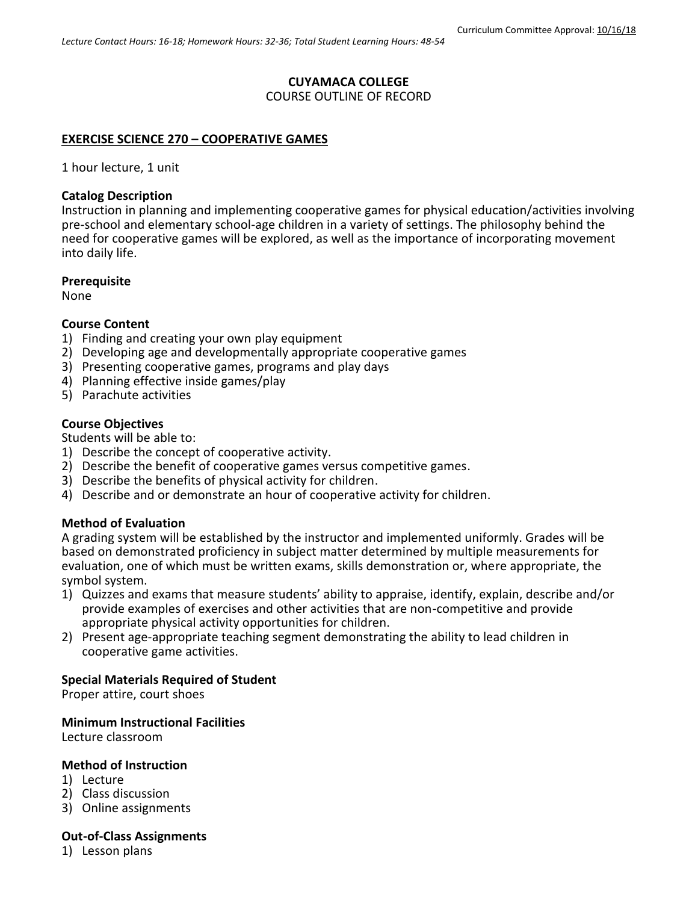# **CUYAMACA COLLEGE**

COURSE OUTLINE OF RECORD

### **EXERCISE SCIENCE 270 – COOPERATIVE GAMES**

1 hour lecture, 1 unit

#### **Catalog Description**

Instruction in planning and implementing cooperative games for physical education/activities involving pre-school and elementary school-age children in a variety of settings. The philosophy behind the need for cooperative games will be explored, as well as the importance of incorporating movement into daily life.

#### **Prerequisite**

None

### **Course Content**

- 1) Finding and creating your own play equipment
- 2) Developing age and developmentally appropriate cooperative games
- 3) Presenting cooperative games, programs and play days
- 4) Planning effective inside games/play
- 5) Parachute activities

## **Course Objectives**

Students will be able to:

- 1) Describe the concept of cooperative activity.
- 2) Describe the benefit of cooperative games versus competitive games.
- 3) Describe the benefits of physical activity for children.
- 4) Describe and or demonstrate an hour of cooperative activity for children.

## **Method of Evaluation**

A grading system will be established by the instructor and implemented uniformly. Grades will be based on demonstrated proficiency in subject matter determined by multiple measurements for evaluation, one of which must be written exams, skills demonstration or, where appropriate, the symbol system.

- 1) Quizzes and exams that measure students' ability to appraise, identify, explain, describe and/or provide examples of exercises and other activities that are non-competitive and provide appropriate physical activity opportunities for children.
- 2) Present age-appropriate teaching segment demonstrating the ability to lead children in cooperative game activities.

#### **Special Materials Required of Student**

Proper attire, court shoes

#### **Minimum Instructional Facilities**

Lecture classroom

#### **Method of Instruction**

- 1) Lecture
- 2) Class discussion
- 3) Online assignments

#### **Out-of-Class Assignments**

1) Lesson plans